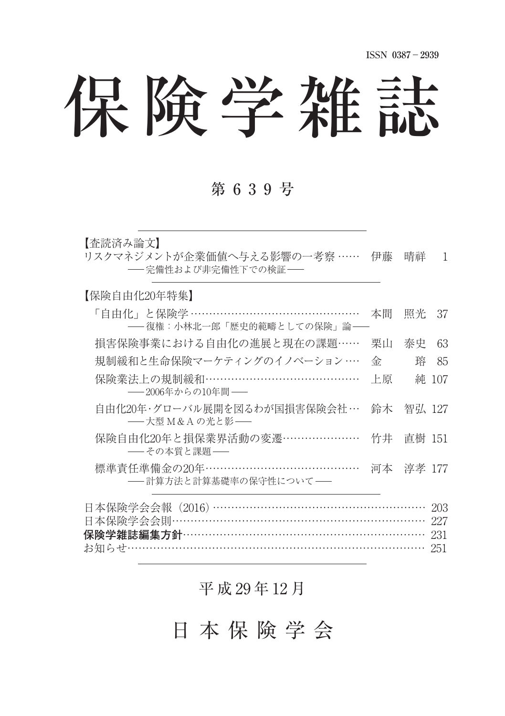保険学雑誌

#### 第 6 3 9 号

【杏読済み論文】

リスクマネジメントが企業価値へ与える影響の一考察 …… 伊藤 晴祥 1 -- 完備性および非完備性下での検証-

【保険自由化20年特集】

| 「自由化」と保険学 ………………………………………<br>---復権:小林北一郎「歴史的範疇としての保険」論--              | 本間 | 昭光        | 37         |
|-----------------------------------------------------------------------|----|-----------|------------|
| 損害保険事業における自由化の進展と現在の課題……                                              | 栗山 | 泰史        | 63         |
| 規制緩和と生命保険マーケティングのイノベーション…                                             | 金  | 踤         | 85         |
| 保険業法上の規制緩和…………………………………<br>─2006年からの10年間─                             | 上原 |           | 純 107      |
| 自由化20年・グローバル展開を図るわが国損害保険会社 …<br>------大型 M & A の光と影------             |    | 鈴木 智弘 127 |            |
| 保険自由化20年と損保業界活動の変遷…………………<br>――その本質と課題――                              | 竹井 | 直樹 151    |            |
| 標準責任準備金の20年……………………………………<br>-- 計算方法と計算基礎率の保守性について--                  |    | 河本 淳孝 177 |            |
| 日本保険学会会報 (2016) …………………………………………………<br>日本保険学会会則………………………………………………………… |    |           | 203<br>227 |

保険学雑誌編集方針………………………………………………………… 231 お知らせ251

平 成 29 年 12 月

日 本 保 険 学 会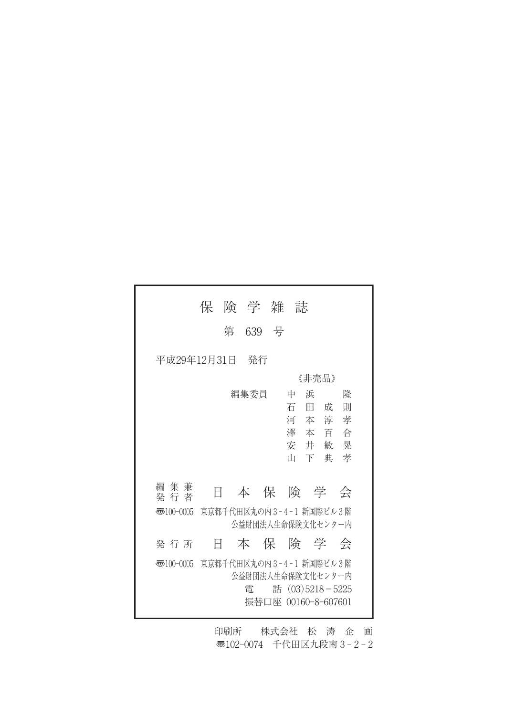|                                                                        | 保 |       | 険 学 雑 誌 |                                                                                            |        |
|------------------------------------------------------------------------|---|-------|---------|--------------------------------------------------------------------------------------------|--------|
|                                                                        | 第 | 639 号 |         |                                                                                            |        |
| 平成29年12月31日<br>- 発行                                                    |   |       |         |                                                                                            |        |
|                                                                        |   |       |         | 《非売品》                                                                                      |        |
|                                                                        |   | 編集委員  | 中       | 浜<br>石田成<br>河本淳孝<br>澤 本 百 合                                                                | 隆<br>則 |
|                                                                        |   |       | Ш       | 安井敏晃<br>下典                                                                                 | 孝      |
| 編 集 兼<br>発 行 者                                                         | Ħ |       |         | 本保険学会                                                                                      |        |
| 東京都千代田区丸の内3-4-1 新国際ビル3階<br>$\overline{3}100-0005$<br>公益財団法人生命保険文化センター内 |   |       |         |                                                                                            |        |
| 発 行 所                                                                  | Ħ |       |         | 本保険学会                                                                                      |        |
| 5ு100-0005                                                             |   | 雷     |         | 東京都千代田区丸の内3-4-1 新国際ビル3階<br>公益財団法人生命保険文化センター内<br>話 $(03)5218 - 5225$<br>振替口座 00160-8-607601 |        |

印刷所 株式会社 松 涛 企 画 □102-0074 千代田区九段南 3-2-2